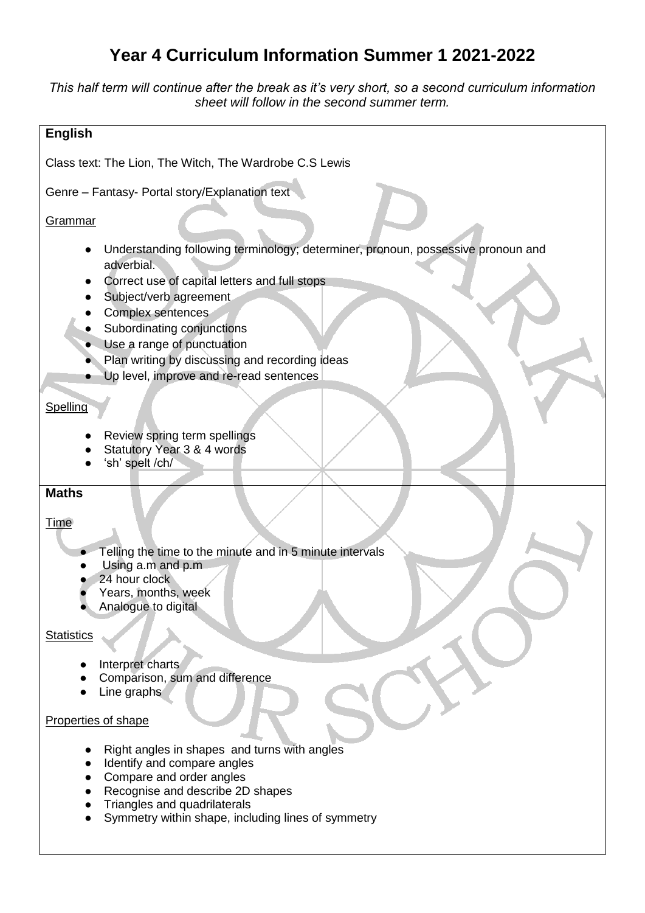# **Year 4 Curriculum Information Summer 1 2021-2022**

*This half term will continue after the break as it's very short, so a second curriculum information sheet will follow in the second summer term.* 

| <b>English</b>                                                                                                                                                                                                                                                                                                                                          |
|---------------------------------------------------------------------------------------------------------------------------------------------------------------------------------------------------------------------------------------------------------------------------------------------------------------------------------------------------------|
| Class text: The Lion, The Witch, The Wardrobe C.S Lewis                                                                                                                                                                                                                                                                                                 |
| Genre - Fantasy- Portal story/Explanation text                                                                                                                                                                                                                                                                                                          |
| <b>Grammar</b>                                                                                                                                                                                                                                                                                                                                          |
| Understanding following terminology; determiner, pronoun, possessive pronoun and<br>adverbial.<br>Correct use of capital letters and full stops<br>Subject/verb agreement<br>Complex sentences<br>Subordinating conjunctions<br>Use a range of punctuation<br>Plan writing by discussing and recording ideas<br>Up level, improve and re-read sentences |
| Spelling                                                                                                                                                                                                                                                                                                                                                |
| Review spring term spellings<br>Statutory Year 3 & 4 words<br>'sh' spelt /ch/                                                                                                                                                                                                                                                                           |
| <b>Maths</b><br><b>Time</b>                                                                                                                                                                                                                                                                                                                             |
| Telling the time to the minute and in 5 minute intervals<br>Using a.m and p.m<br>24 hour clock<br>Years, months, week<br>Analogue to digital                                                                                                                                                                                                            |
| <b>Statistics</b>                                                                                                                                                                                                                                                                                                                                       |
| Interpret charts<br>Comparison, sum and difference<br>Line graphs                                                                                                                                                                                                                                                                                       |
| Properties of shape                                                                                                                                                                                                                                                                                                                                     |
| Right angles in shapes and turns with angles<br>Identify and compare angles<br>Compare and order angles<br>Recognise and describe 2D shapes<br>Triangles and quadrilaterals<br>Symmetry within shape, including lines of symmetry                                                                                                                       |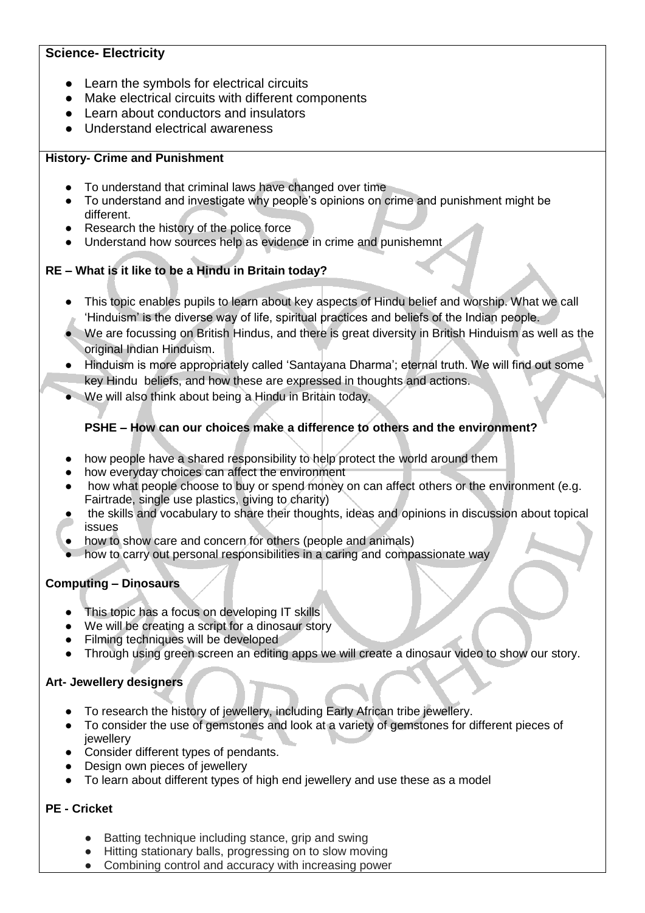## **Science- Electricity**

- Learn the symbols for electrical circuits
- Make electrical circuits with different components
- Learn about conductors and insulators
- Understand electrical awareness

#### **History- Crime and Punishment**

- To understand that criminal laws have changed over time
- To understand and investigate why people's opinions on crime and punishment might be different.
- Research the history of the police force
- Understand how sources help as evidence in crime and punishemnt

## **RE – What is it like to be a Hindu in Britain today?**

- This topic enables pupils to learn about key aspects of Hindu belief and worship. What we call 'Hinduism' is the diverse way of life, spiritual practices and beliefs of the Indian people.
- We are focussing on British Hindus, and there is great diversity in British Hinduism as well as the original Indian Hinduism.
- Hinduism is more appropriately called 'Santayana Dharma'; eternal truth. We will find out some key Hindu beliefs, and how these are expressed in thoughts and actions.
- We will also think about being a Hindu in Britain today.

## **PSHE – How can our choices make a difference to others and the environment?**

- how people have a shared responsibility to help protect the world around them
- how everyday choices can affect the environment
- how what people choose to buy or spend money on can affect others or the environment (e.g. Fairtrade, single use plastics, giving to charity)
- the skills and vocabulary to share their thoughts, ideas and opinions in discussion about topical issues
- how to show care and concern for others (people and animals)
- how to carry out personal responsibilities in a caring and compassionate way

## **Computing – Dinosaurs**

- This topic has a focus on developing IT skills
- We will be creating a script for a dinosaur story
- Filming techniques will be developed
- Through using green screen an editing apps we will create a dinosaur video to show our story.

## **Art- Jewellery designers**

- To research the history of jewellery, including Early African tribe jewellery.
- To consider the use of gemstones and look at a variety of gemstones for different pieces of jewellery
- Consider different types of pendants.
- Design own pieces of jewellery
- To learn about different types of high end jewellery and use these as a model

## **PE - Cricket**

- Batting technique including stance, grip and swing
- Hitting stationary balls, progressing on to slow moving
- Combining control and accuracy with increasing power